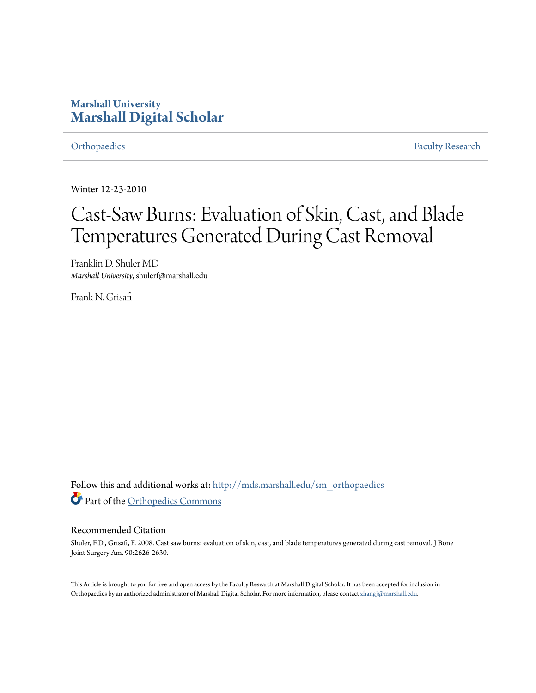### **Marshall University [Marshall Digital Scholar](http://mds.marshall.edu?utm_source=mds.marshall.edu%2Fsm_orthopaedics%2F18&utm_medium=PDF&utm_campaign=PDFCoverPages)**

[Orthopaedics](http://mds.marshall.edu/sm_orthopaedics?utm_source=mds.marshall.edu%2Fsm_orthopaedics%2F18&utm_medium=PDF&utm_campaign=PDFCoverPages) [Faculty Research](http://mds.marshall.edu/sm_faculty?utm_source=mds.marshall.edu%2Fsm_orthopaedics%2F18&utm_medium=PDF&utm_campaign=PDFCoverPages)

Winter 12-23-2010

# Cast-Saw Burns: Evaluation of Skin, Cast, and Blade Temperatures Generated During Cast Removal

Franklin D. Shuler MD *Marshall University*, shulerf@marshall.edu

Frank N. Grisafi

Follow this and additional works at: [http://mds.marshall.edu/sm\\_orthopaedics](http://mds.marshall.edu/sm_orthopaedics?utm_source=mds.marshall.edu%2Fsm_orthopaedics%2F18&utm_medium=PDF&utm_campaign=PDFCoverPages) Part of the [Orthopedics Commons](http://network.bepress.com/hgg/discipline/696?utm_source=mds.marshall.edu%2Fsm_orthopaedics%2F18&utm_medium=PDF&utm_campaign=PDFCoverPages)

### Recommended Citation

Shuler, F.D., Grisafi, F. 2008. Cast saw burns: evaluation of skin, cast, and blade temperatures generated during cast removal. J Bone Joint Surgery Am. 90:2626-2630.

This Article is brought to you for free and open access by the Faculty Research at Marshall Digital Scholar. It has been accepted for inclusion in Orthopaedics by an authorized administrator of Marshall Digital Scholar. For more information, please contact [zhangj@marshall.edu.](mailto:zhangj@marshall.edu)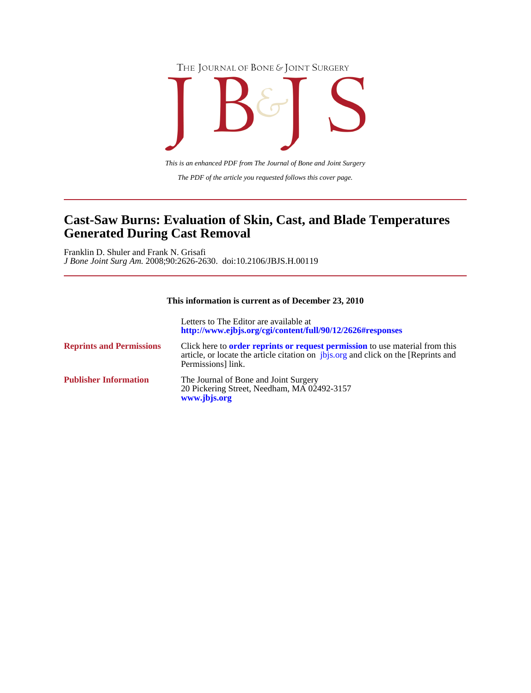



*The PDF of the article you requested follows this cover page. This is an enhanced PDF from The Journal of Bone and Joint Surgery*

## **Generated During Cast Removal Cast-Saw Burns: Evaluation of Skin, Cast, and Blade Temperatures**

*J Bone Joint Surg Am.* 2008;90:2626-2630. doi:10.2106/JBJS.H.00119 Franklin D. Shuler and Frank N. Grisafi

### **This information is current as of December 23, 2010**

 **<http://www.ejbjs.org/cgi/content/full/90/12/2626#responses>** Letters to The Editor are available at

| <b>Reprints and Permissions</b> | Click here to <b>order reprints or request permission</b> to use material from this<br>article, or locate the article citation on jbjs.org and click on the [Reprints and<br>Permissions link. |
|---------------------------------|------------------------------------------------------------------------------------------------------------------------------------------------------------------------------------------------|
| <b>Publisher Information</b>    | The Journal of Bone and Joint Surgery<br>20 Pickering Street, Needham, MA 02492-3157<br>www.jbjs.org                                                                                           |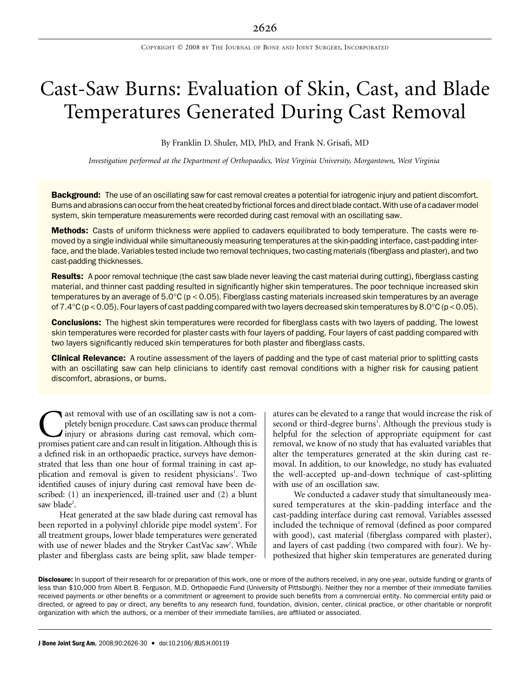# Cast-Saw Burns: Evaluation of Skin, Cast, and Blade Temperatures Generated During Cast Removal

By Franklin D. Shuler, MD, PhD, and Frank N. Grisafi, MD

Investigation performed at the Department of Orthopaedics, West Virginia University, Morgantown, West Virginia

Background: The use of an oscillating saw for cast removal creates a potential for iatrogenic injury and patient discomfort. Burns and abrasions can occur from the heat created byfrictional forces and direct blade contact. With use of a cadaver model system, skin temperature measurements were recorded during cast removal with an oscillating saw.

Methods: Casts of uniform thickness were applied to cadavers equilibrated to body temperature. The casts were removed by a single individual while simultaneously measuring temperatures at the skin-padding interface, cast-padding interface, and the blade. Variables tested include two removal techniques, two casting materials (fiberglass and plaster), and two cast-padding thicknesses.

Results: A poor removal technique (the cast saw blade never leaving the cast material during cutting), fiberglass casting material, and thinner cast padding resulted in significantly higher skin temperatures. The poor technique increased skin temperatures by an average of 5.0°C (p < 0.05). Fiberglass casting materials increased skin temperatures by an average of 7.4°C (p < 0.05). Four layers of cast padding compared with two layers decreased skin temperatures by 8.0°C (p < 0.05).

Conclusions: The highest skin temperatures were recorded for fiberglass casts with two layers of padding. The lowest skin temperatures were recorded for plaster casts with four layers of padding. Four layers of cast padding compared with two layers significantly reduced skin temperatures for both plaster and fiberglass casts.

**Clinical Relevance:** A routine assessment of the layers of padding and the type of cast material prior to splitting casts with an oscillating saw can help clinicians to identify cast removal conditions with a higher risk for causing patient discomfort, abrasions, or burns.

**C** ast removal with use of an oscillating saw is not a completely benign procedure. Cast saws can produce thermal injury or abrasions during cast removal, which compromises patient care and can result in litigation. Altho pletely benign procedure. Cast saws can produce thermal injury or abrasions during cast removal, which compromises patient care and can result in litigation. Although this is a defined risk in an orthopaedic practice, surveys have demonstrated that less than one hour of formal training in cast application and removal is given to resident physicians<sup>1</sup>. Two identified causes of injury during cast removal have been described: (1) an inexperienced, ill-trained user and (2) a blunt saw blade<sup>2</sup>.

Heat generated at the saw blade during cast removal has been reported in a polyvinyl chloride pipe model system<sup>1</sup>. For all treatment groups, lower blade temperatures were generated with use of newer blades and the Stryker CastVac saw<sup>1</sup>. While plaster and fiberglass casts are being split, saw blade temperatures can be elevated to a range that would increase the risk of second or third-degree burns<sup>1</sup>. Although the previous study is helpful for the selection of appropriate equipment for cast removal, we know of no study that has evaluated variables that alter the temperatures generated at the skin during cast removal. In addition, to our knowledge, no study has evaluated the well-accepted up-and-down technique of cast-splitting with use of an oscillation saw.

We conducted a cadaver study that simultaneously measured temperatures at the skin-padding interface and the cast-padding interface during cast removal. Variables assessed included the technique of removal (defined as poor compared with good), cast material (fiberglass compared with plaster), and layers of cast padding (two compared with four). We hypothesized that higher skin temperatures are generated during

Disclosure: In support of their research for or preparation of this work, one or more of the authors received, in any one year, outside funding or grants of less than \$10,000 from Albert B. Ferguson, M.D. Orthopaedic Fund (University of Pittsburgh). Neither they nor a member of their immediate families received payments or other benefits or a commitment or agreement to provide such benefits from a commercial entity. No commercial entity paid or directed, or agreed to pay or direct, any benefits to any research fund, foundation, division, center, clinical practice, or other charitable or nonprofit organization with which the authors, or a member of their immediate families, are affiliated or associated.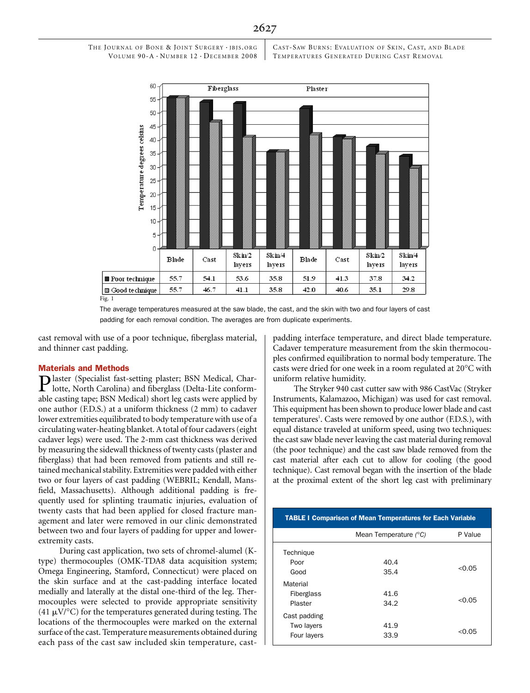THE JOURNAL OF BONE & JOINT SURGERY · JBJS.ORG VOLUME  $90-A \cdot N$ UMBER  $12 \cdot D$ ECEMBER 2008 CAST-SAW BURNS: EVALUATION OF SKIN, CAST, AND BLADE TEMPERATURES GENERATED DURING CAST REMOVAL



 $Fig. 1$ 

The average temperatures measured at the saw blade, the cast, and the skin with two and four layers of cast padding for each removal condition. The averages are from duplicate experiments.

cast removal with use of a poor technique, fiberglass material, and thinner cast padding.

### Materials and Methods

Plaster (Specialist fast-setting plaster; BSN Medical, Char-<br>lotte, North Carolina) and fiberglass (Delta-Lite conformlotte, North Carolina) and fiberglass (Delta-Lite conformable casting tape; BSN Medical) short leg casts were applied by one author (F.D.S.) at a uniform thickness (2 mm) to cadaver lower extremities equilibrated to body temperature with use of a circulating water-heating blanket. A total of four cadavers (eight cadaver legs) were used. The 2-mm cast thickness was derived by measuring the sidewall thickness of twenty casts (plaster and fiberglass) that had been removed from patients and still retained mechanical stability. Extremities were padded with either two or four layers of cast padding (WEBRIL; Kendall, Mansfield, Massachusetts). Although additional padding is frequently used for splinting traumatic injuries, evaluation of twenty casts that had been applied for closed fracture management and later were removed in our clinic demonstrated between two and four layers of padding for upper and lowerextremity casts.

During cast application, two sets of chromel-alumel (Ktype) thermocouples (OMK-TDA8 data acquisition system; Omega Engineering, Stamford, Connecticut) were placed on the skin surface and at the cast-padding interface located medially and laterally at the distal one-third of the leg. Thermocouples were selected to provide appropriate sensitivity (41  $\mu$ V/°C) for the temperatures generated during testing. The locations of the thermocouples were marked on the external surface of the cast. Temperature measurements obtained during each pass of the cast saw included skin temperature, castpadding interface temperature, and direct blade temperature. Cadaver temperature measurement from the skin thermocouples confirmed equilibration to normal body temperature. The casts were dried for one week in a room regulated at 20°C with uniform relative humidity.

The Stryker 940 cast cutter saw with 986 CastVac (Stryker Instruments, Kalamazoo, Michigan) was used for cast removal. This equipment has been shown to produce lower blade and cast temperatures<sup>1</sup>. Casts were removed by one author (F.D.S.), with equal distance traveled at uniform speed, using two techniques: the cast saw blade never leaving the cast material during removal (the poor technique) and the cast saw blade removed from the cast material after each cut to allow for cooling (the good technique). Cast removal began with the insertion of the blade at the proximal extent of the short leg cast with preliminary

| <b>TABLE I Comparison of Mean Temperatures for Each Variable</b> |                                |          |  |  |
|------------------------------------------------------------------|--------------------------------|----------|--|--|
|                                                                  | Mean Temperature $(^{\circ}C)$ | P Value  |  |  |
| Technique                                                        |                                |          |  |  |
| Poor                                                             | 40.4                           |          |  |  |
| Good                                                             | 35.4                           | < 0.05   |  |  |
| Material                                                         |                                |          |  |  |
| Fiberglass                                                       | 41.6                           |          |  |  |
| Plaster                                                          | 34.2                           | $<$ 0.05 |  |  |
| Cast padding                                                     |                                |          |  |  |
| Two layers                                                       | 41.9                           |          |  |  |
| Four layers                                                      | 33.9                           | $<$ 0.05 |  |  |

2627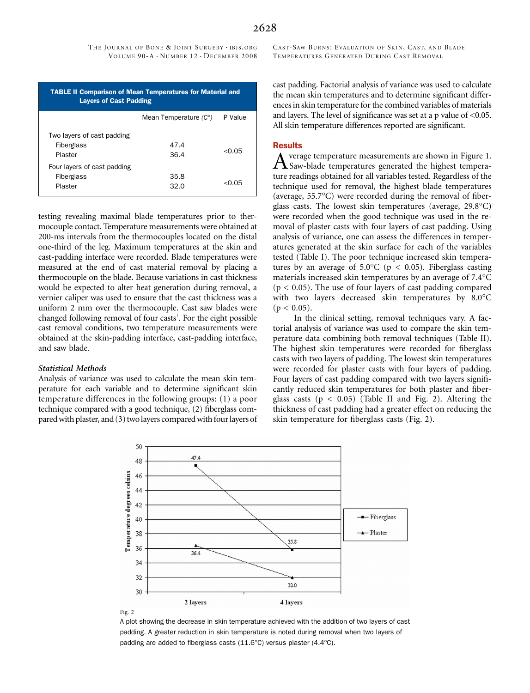THE JOURNAL OF BONE & JOINT SURGERY · JBJS.ORG VOLUME  $90-A \cdot N$ UMBER  $12 \cdot$ DECEMBER 2008

| <b>TABLE II Comparison of Mean Temperatures for Material and</b><br><b>Layers of Cast Padding</b> |                                |         |  |
|---------------------------------------------------------------------------------------------------|--------------------------------|---------|--|
|                                                                                                   | Mean Temperature $(C^{\circ})$ | P Value |  |
| Two layers of cast padding<br>Fiberglass<br>Plaster                                               | 47.4<br>36.4                   | < 0.05  |  |
| Four layers of cast padding<br>Fiberglass<br>Plaster                                              | 35.8<br>32.0                   | <0.05   |  |

testing revealing maximal blade temperatures prior to thermocouple contact. Temperature measurements were obtained at 200-ms intervals from the thermocouples located on the distal one-third of the leg. Maximum temperatures at the skin and cast-padding interface were recorded. Blade temperatures were measured at the end of cast material removal by placing a thermocouple on the blade. Because variations in cast thickness would be expected to alter heat generation during removal, a vernier caliper was used to ensure that the cast thickness was a uniform 2 mm over the thermocouple. Cast saw blades were changed following removal of four casts<sup>1</sup>. For the eight possible cast removal conditions, two temperature measurements were obtained at the skin-padding interface, cast-padding interface, and saw blade.

### Statistical Methods

Analysis of variance was used to calculate the mean skin temperature for each variable and to determine significant skin temperature differences in the following groups: (1) a poor technique compared with a good technique, (2) fiberglass compared with plaster, and (3) two layers compared with four layers of CAST-SAW BURNS: EVALUATION OF SKIN, CAST, AND BLADE TEMPERATURES GENERATED DURING CAST REMOVAL

cast padding. Factorial analysis of variance was used to calculate the mean skin temperatures and to determine significant differences in skin temperature for the combined variables of materials and layers. The level of significance was set at a p value of <0.05. All skin temperature differences reported are significant.

#### Results

A verage temperature measurements are shown in Figure 1.<br>Saw-blade temperatures generated the highest temperature readings obtained for all variables tested. Regardless of the technique used for removal, the highest blade temperatures (average, 55.7°C) were recorded during the removal of fiberglass casts. The lowest skin temperatures (average, 29.8°C) were recorded when the good technique was used in the removal of plaster casts with four layers of cast padding. Using analysis of variance, one can assess the differences in temperatures generated at the skin surface for each of the variables tested (Table I). The poor technique increased skin temperatures by an average of 5.0°C ( $p < 0.05$ ). Fiberglass casting materials increased skin temperatures by an average of 7.4°C (p < 0.05). The use of four layers of cast padding compared with two layers decreased skin temperatures by  $8.0^{\circ}$ C  $(p < 0.05)$ .

In the clinical setting, removal techniques vary. A factorial analysis of variance was used to compare the skin temperature data combining both removal techniques (Table II). The highest skin temperatures were recorded for fiberglass casts with two layers of padding. The lowest skin temperatures were recorded for plaster casts with four layers of padding. Four layers of cast padding compared with two layers significantly reduced skin temperatures for both plaster and fiberglass casts  $(p < 0.05)$  (Table II and Fig. 2). Altering the thickness of cast padding had a greater effect on reducing the skin temperature for fiberglass casts (Fig. 2).



A plot showing the decrease in skin temperature achieved with the addition of two layers of cast padding. A greater reduction in skin temperature is noted during removal when two layers of padding are added to fiberglass casts (11.6 $\degree$ C) versus plaster (4.4 $\degree$ C).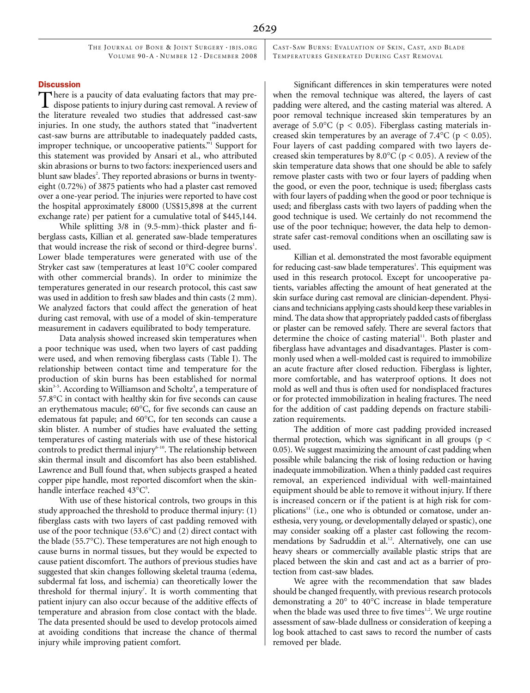THE JOURNAL OF BONE & JOINT SURGERY · JBJS.ORG VOLUME  $90-A \cdot N$ UMBER  $12 \cdot D$ ECEMBER 2008 CAST-SAW BURNS: EVALUATION OF SKIN, CAST, AND BLADE TEMPERATURES GENERATED DURING CAST REMOVAL

### **Discussion**

There is a paucity of data evaluating factors that may pre-<br>dispose patients to injury during cast removal. A review of the literature revealed two studies that addressed cast-saw injuries. In one study, the authors stated that ''inadvertent cast-saw burns are attributable to inadequately padded casts, improper technique, or uncooperative patients.''<sup>1</sup> Support for this statement was provided by Ansari et al., who attributed skin abrasions or burns to two factors: inexperienced users and blunt saw blades<sup>2</sup>. They reported abrasions or burns in twentyeight (0.72%) of 3875 patients who had a plaster cast removed over a one-year period. The injuries were reported to have cost the hospital approximately £8000 (US\$15,898 at the current exchange rate) per patient for a cumulative total of \$445,144.

While splitting 3/8 in (9.5-mm)-thick plaster and fiberglass casts, Killian et al. generated saw-blade temperatures that would increase the risk of second or third-degree burns<sup>1</sup>. Lower blade temperatures were generated with use of the Stryker cast saw (temperatures at least 10°C cooler compared with other commercial brands). In order to minimize the temperatures generated in our research protocol, this cast saw was used in addition to fresh saw blades and thin casts (2 mm). We analyzed factors that could affect the generation of heat during cast removal, with use of a model of skin-temperature measurement in cadavers equilibrated to body temperature.

Data analysis showed increased skin temperatures when a poor technique was used, when two layers of cast padding were used, and when removing fiberglass casts (Table I). The relationship between contact time and temperature for the production of skin burns has been established for normal skin<sup>3-5</sup>. According to Williamson and Scholtz<sup>4</sup>, a temperature of 57.8°C in contact with healthy skin for five seconds can cause an erythematous macule; 60°C, for five seconds can cause an edematous fat papule; and 60°C, for ten seconds can cause a skin blister. A number of studies have evaluated the setting temperatures of casting materials with use of these historical controls to predict thermal injury<sup>6-10</sup>. The relationship between skin thermal insult and discomfort has also been established. Lawrence and Bull found that, when subjects grasped a heated copper pipe handle, most reported discomfort when the skinhandle interface reached 43°C<sup>5</sup>.

With use of these historical controls, two groups in this study approached the threshold to produce thermal injury: (1) fiberglass casts with two layers of cast padding removed with use of the poor technique  $(53.6^{\circ}C)$  and  $(2)$  direct contact with the blade (55.7 $^{\circ}$ C). These temperatures are not high enough to cause burns in normal tissues, but they would be expected to cause patient discomfort. The authors of previous studies have suggested that skin changes following skeletal trauma (edema, subdermal fat loss, and ischemia) can theoretically lower the threshold for thermal injury<sup>7</sup>. It is worth commenting that patient injury can also occur because of the additive effects of temperature and abrasion from close contact with the blade. The data presented should be used to develop protocols aimed at avoiding conditions that increase the chance of thermal injury while improving patient comfort.

Significant differences in skin temperatures were noted when the removal technique was altered, the layers of cast padding were altered, and the casting material was altered. A poor removal technique increased skin temperatures by an average of 5.0 $\degree$ C (p < 0.05). Fiberglass casting materials increased skin temperatures by an average of 7.4°C ( $p < 0.05$ ). Four layers of cast padding compared with two layers decreased skin temperatures by 8.0°C ( $p < 0.05$ ). A review of the skin temperature data shows that one should be able to safely remove plaster casts with two or four layers of padding when the good, or even the poor, technique is used; fiberglass casts with four layers of padding when the good or poor technique is used; and fiberglass casts with two layers of padding when the good technique is used. We certainly do not recommend the use of the poor technique; however, the data help to demonstrate safer cast-removal conditions when an oscillating saw is used.

Killian et al. demonstrated the most favorable equipment for reducing cast-saw blade temperatures<sup>1</sup>. This equipment was used in this research protocol. Except for uncooperative patients, variables affecting the amount of heat generated at the skin surface during cast removal are clinician-dependent. Physicians and technicians applying casts should keep these variables in mind. The data show that appropriately padded casts of fiberglass or plaster can be removed safely. There are several factors that determine the choice of casting material<sup>11</sup>. Both plaster and fiberglass have advantages and disadvantages. Plaster is commonly used when a well-molded cast is required to immobilize an acute fracture after closed reduction. Fiberglass is lighter, more comfortable, and has waterproof options. It does not mold as well and thus is often used for nondisplaced fractures or for protected immobilization in healing fractures. The need for the addition of cast padding depends on fracture stabilization requirements.

The addition of more cast padding provided increased thermal protection, which was significant in all groups ( $p <$ 0.05). We suggest maximizing the amount of cast padding when possible while balancing the risk of losing reduction or having inadequate immobilization. When a thinly padded cast requires removal, an experienced individual with well-maintained equipment should be able to remove it without injury. If there is increased concern or if the patient is at high risk for complications<sup>11</sup> (i.e., one who is obtunded or comatose, under anesthesia, very young, or developmentally delayed or spastic), one may consider soaking off a plaster cast following the recommendations by Sadruddin et al.<sup>12</sup>. Alternatively, one can use heavy shears or commercially available plastic strips that are placed between the skin and cast and act as a barrier of protection from cast-saw blades.

We agree with the recommendation that saw blades should be changed frequently, with previous research protocols demonstrating a 20° to 40°C increase in blade temperature when the blade was used three to five times $1,2$ . We urge routine assessment of saw-blade dullness or consideration of keeping a log book attached to cast saws to record the number of casts removed per blade.